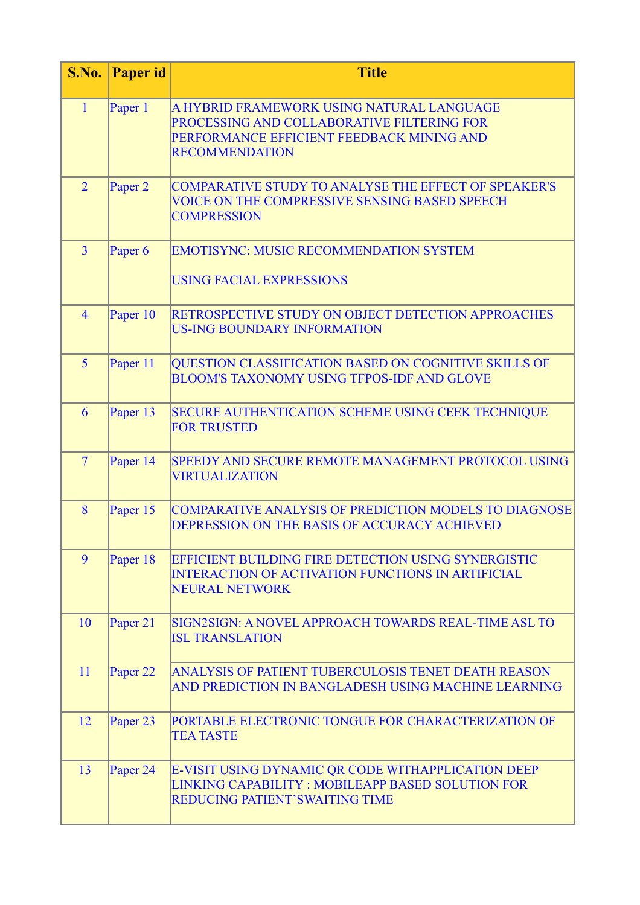| S.No.          | <b>Paper id</b>     | <b>Title</b>                                                                                                                                                  |
|----------------|---------------------|---------------------------------------------------------------------------------------------------------------------------------------------------------------|
| $\mathbf{1}$   | Paper 1             | A HYBRID FRAMEWORK USING NATURAL LANGUAGE<br>PROCESSING AND COLLABORATIVE FILTERING FOR<br>PERFORMANCE EFFICIENT FEEDBACK MINING AND<br><b>RECOMMENDATION</b> |
| $\overline{2}$ | Paper <sub>2</sub>  | <b>COMPARATIVE STUDY TO ANALYSE THE EFFECT OF SPEAKER'S</b><br><b>VOICE ON THE COMPRESSIVE SENSING BASED SPEECH</b><br><b>COMPRESSION</b>                     |
| $\overline{3}$ | Paper 6             | <b>EMOTISYNC: MUSIC RECOMMENDATION SYSTEM</b><br><b>USING FACIAL EXPRESSIONS</b>                                                                              |
| $\overline{4}$ | Paper 10            | RETROSPECTIVE STUDY ON OBJECT DETECTION APPROACHES<br><b>US-ING BOUNDARY INFORMATION</b>                                                                      |
| 5 <sup>5</sup> | Paper 11            | QUESTION CLASSIFICATION BASED ON COGNITIVE SKILLS OF<br><b>BLOOM'S TAXONOMY USING TFPOS-IDF AND GLOVE</b>                                                     |
| 6              | Paper 13            | SECURE AUTHENTICATION SCHEME USING CEEK TECHNIQUE<br><b>FOR TRUSTED</b>                                                                                       |
| $\overline{7}$ | Paper 14            | SPEEDY AND SECURE REMOTE MANAGEMENT PROTOCOL USING<br><b>VIRTUALIZATION</b>                                                                                   |
| 8              | Paper 15            | <b>COMPARATIVE ANALYSIS OF PREDICTION MODELS TO DIAGNOSE</b><br>DEPRESSION ON THE BASIS OF ACCURACY ACHIEVED                                                  |
| 9              | Paper 18            | EFFICIENT BUILDING FIRE DETECTION USING SYNERGISTIC<br><b>INTERACTION OF ACTIVATION FUNCTIONS IN ARTIFICIAL</b><br><b>NEURAL NETWORK</b>                      |
| 10             | Paper 21            | SIGN2SIGN: A NOVEL APPROACH TOWARDS REAL-TIME ASL TO<br><b>ISL TRANSLATION</b>                                                                                |
| 11             | Paper <sub>22</sub> | ANALYSIS OF PATIENT TUBERCULOSIS TENET DEATH REASON<br>AND PREDICTION IN BANGLADESH USING MACHINE LEARNING                                                    |
| 12             | Paper 23            | PORTABLE ELECTRONIC TONGUE FOR CHARACTERIZATION OF<br><b>TEA TASTE</b>                                                                                        |
| 13             | Paper 24            | E-VISIT USING DYNAMIC QR CODE WITHAPPLICATION DEEP<br>LINKING CAPABILITY: MOBILEAPP BASED SOLUTION FOR<br>REDUCING PATIENT'SWAITING TIME                      |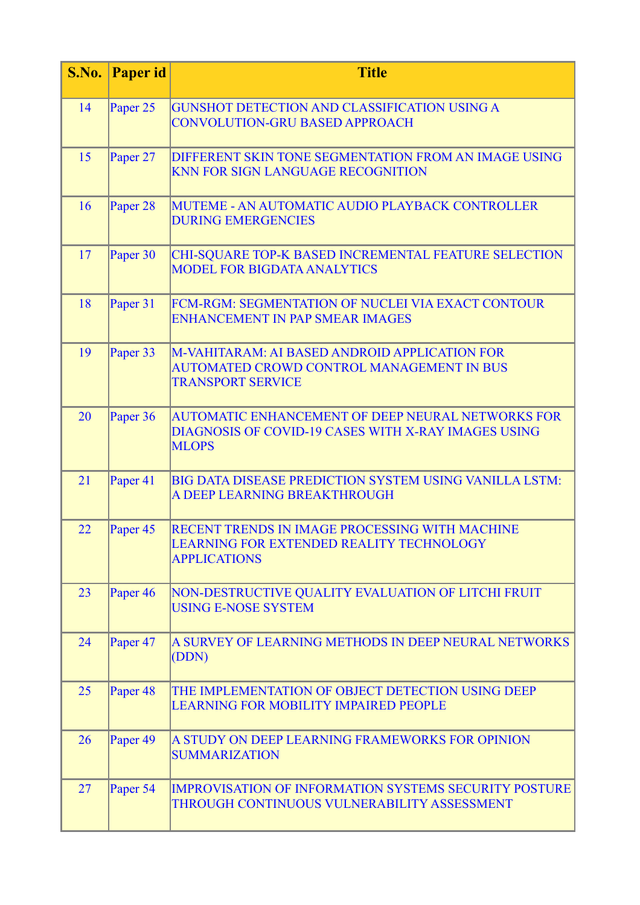| S.No. | <b>Paper id</b>     | <b>Title</b>                                                                                                                    |
|-------|---------------------|---------------------------------------------------------------------------------------------------------------------------------|
| 14    | Paper 25            | GUNSHOT DETECTION AND CLASSIFICATION USING A<br><b>CONVOLUTION-GRU BASED APPROACH</b>                                           |
| 15    | Paper 27            | <b>DIFFERENT SKIN TONE SEGMENTATION FROM AN IMAGE USING</b><br>KNN FOR SIGN LANGUAGE RECOGNITION                                |
| 16    | Paper 28            | MUTEME - AN AUTOMATIC AUDIO PLAYBACK CONTROLLER<br><b>DURING EMERGENCIES</b>                                                    |
| 17    | Paper 30            | CHI-SQUARE TOP-K BASED INCREMENTAL FEATURE SELECTION<br><b>MODEL FOR BIGDATA ANALYTICS</b>                                      |
| 18    | Paper 31            | FCM-RGM: SEGMENTATION OF NUCLEI VIA EXACT CONTOUR<br><b>ENHANCEMENT IN PAP SMEAR IMAGES</b>                                     |
| 19    | Paper 33            | M-VAHITARAM: AI BASED ANDROID APPLICATION FOR<br>AUTOMATED CROWD CONTROL MANAGEMENT IN BUS<br><b>TRANSPORT SERVICE</b>          |
| 20    | Paper 36            | <b>AUTOMATIC ENHANCEMENT OF DEEP NEURAL NETWORKS FOR</b><br>DIAGNOSIS OF COVID-19 CASES WITH X-RAY IMAGES USING<br><b>MLOPS</b> |
| 21    | Paper 41            | BIG DATA DISEASE PREDICTION SYSTEM USING VANILLA LSTM:<br>A DEEP LEARNING BREAKTHROUGH                                          |
| 22    | Paper 45            | RECENT TRENDS IN IMAGE PROCESSING WITH MACHINE<br>LEARNING FOR EXTENDED REALITY TECHNOLOGY<br><b>APPLICATIONS</b>               |
| 23    | Paper <sub>46</sub> | NON-DESTRUCTIVE QUALITY EVALUATION OF LITCHI FRUIT<br><b>USING E-NOSE SYSTEM</b>                                                |
| 24    | Paper <sub>47</sub> | A SURVEY OF LEARNING METHODS IN DEEP NEURAL NETWORKS<br>(DDN)                                                                   |
| 25    | Paper <sub>48</sub> | THE IMPLEMENTATION OF OBJECT DETECTION USING DEEP<br><b>LEARNING FOR MOBILITY IMPAIRED PEOPLE</b>                               |
| 26    | Paper <sub>49</sub> | A STUDY ON DEEP LEARNING FRAMEWORKS FOR OPINION<br><b>SUMMARIZATION</b>                                                         |
| 27    | Paper 54            | IMPROVISATION OF INFORMATION SYSTEMS SECURITY POSTURE<br>THROUGH CONTINUOUS VULNERABILITY ASSESSMENT                            |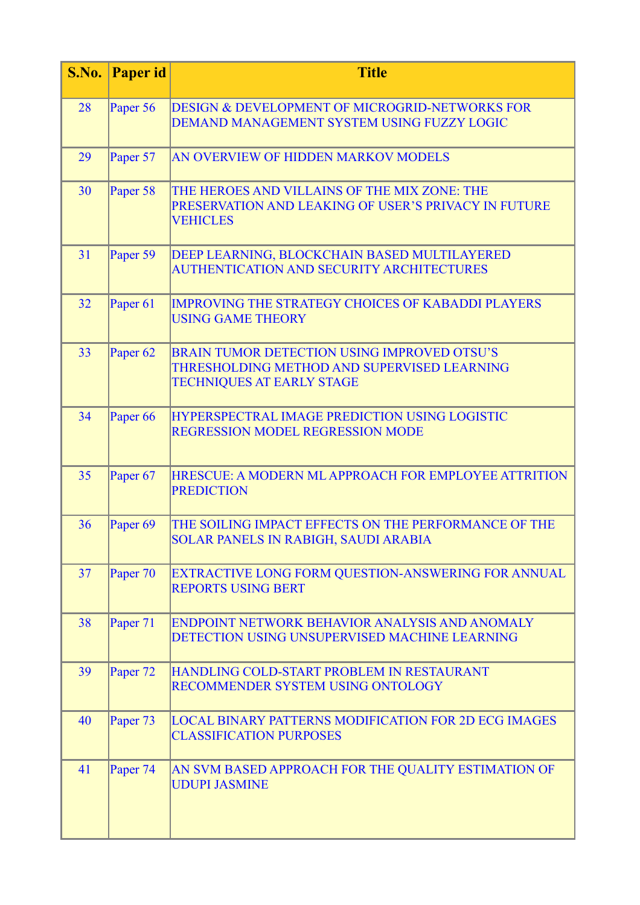| S.No. | <b>Paper id</b>     | <b>Title</b>                                                                                                                   |
|-------|---------------------|--------------------------------------------------------------------------------------------------------------------------------|
| 28    | Paper 56            | DESIGN & DEVELOPMENT OF MICROGRID-NETWORKS FOR<br>DEMAND MANAGEMENT SYSTEM USING FUZZY LOGIC                                   |
| 29    | Paper 57            | AN OVERVIEW OF HIDDEN MARKOV MODELS                                                                                            |
| 30    | Paper 58            | THE HEROES AND VILLAINS OF THE MIX ZONE: THE<br>PRESERVATION AND LEAKING OF USER'S PRIVACY IN FUTURE<br><b>VEHICLES</b>        |
| 31    | Paper 59            | DEEP LEARNING, BLOCKCHAIN BASED MULTILAYERED<br>AUTHENTICATION AND SECURITY ARCHITECTURES                                      |
| 32    | Paper <sub>61</sub> | <b>IMPROVING THE STRATEGY CHOICES OF KABADDI PLAYERS</b><br><b>USING GAME THEORY</b>                                           |
| 33    | Paper <sub>62</sub> | BRAIN TUMOR DETECTION USING IMPROVED OTSU'S<br>THRESHOLDING METHOD AND SUPERVISED LEARNING<br><b>TECHNIQUES AT EARLY STAGE</b> |
| 34    | Paper <sub>66</sub> | HYPERSPECTRAL IMAGE PREDICTION USING LOGISTIC<br>REGRESSION MODEL REGRESSION MODE                                              |
| 35    | Paper 67            | HRESCUE: A MODERN ML APPROACH FOR EMPLOYEE ATTRITION<br><b>PREDICTION</b>                                                      |
| 36    | Paper <sub>69</sub> | THE SOILING IMPACT EFFECTS ON THE PERFORMANCE OF THE<br>SOLAR PANELS IN RABIGH, SAUDI ARABIA                                   |
| 37    | Paper 70            | EXTRACTIVE LONG FORM QUESTION-ANSWERING FOR ANNUAL<br><b>REPORTS USING BERT</b>                                                |
| 38    | Paper 71            | ENDPOINT NETWORK BEHAVIOR ANALYSIS AND ANOMALY<br>DETECTION USING UNSUPERVISED MACHINE LEARNING                                |
| 39    | Paper 72            | HANDLING COLD-START PROBLEM IN RESTAURANT<br>RECOMMENDER SYSTEM USING ONTOLOGY                                                 |
| 40    | Paper 73            | <b>LOCAL BINARY PATTERNS MODIFICATION FOR 2D ECG IMAGES</b><br><b>CLASSIFICATION PURPOSES</b>                                  |
| 41    | Paper 74            | AN SVM BASED APPROACH FOR THE QUALITY ESTIMATION OF<br><b>UDUPI JASMINE</b>                                                    |